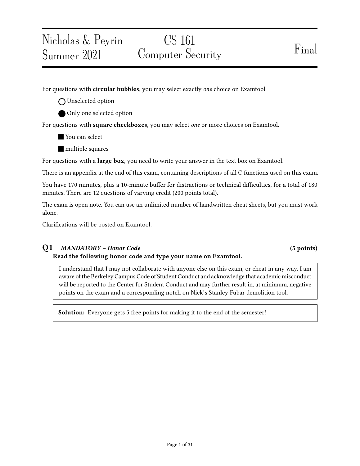For questions with **circular bubbles**, you may select exactly *one* choice on Examtool.

O Unselected option

Nicholas & Peyrin

Summer 2021

Only one selected option

For questions with **square checkboxes**, you may select one or more choices on Examtool.

You can select

**nultiple** squares

For questions with a **large box**, you need to write your answer in the text box on Examtool.

There is an appendix at the end of this exam, containing descriptions of all C functions used on this exam.

You have 170 minutes, plus a 10-minute buffer for distractions or technical difficulties, for a total of 180 minutes. There are 12 questions of varying credit (200 points total).

The exam is open note. You can use an unlimited number of handwritten cheat sheets, but you must work alone.

Clarifications will be posted on Examtool.

# Q1 MANDATORY – Honor Code (5 points)

# Read the following honor code and type your name on Examtool.

I understand that I may not collaborate with anyone else on this exam, or cheat in any way. I am aware of the Berkeley Campus Code of Student Conduct and acknowledge that academic misconduct will be reported to the Center for Student Conduct and may further result in, at minimum, negative points on the exam and a corresponding notch on Nick's Stanley Fubar demolition tool.

Solution: Everyone gets 5 free points for making it to the end of the semester!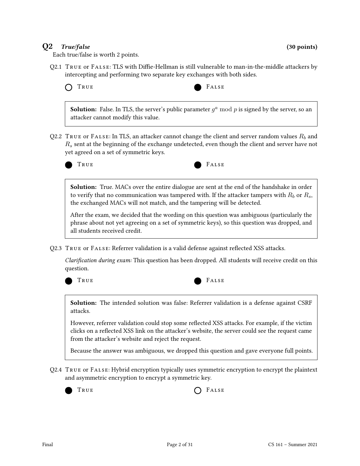# $Q2$  True/false (30 points)

Each true/false is worth 2 points.

Q2.1 TRUE or FALSE: TLS with Diffie-Hellman is still vulnerable to man-in-the-middle attackers by intercepting and performing two separate key exchanges with both sides.

TRUE FALSE



**Solution:** False. In TLS, the server's public parameter  $g^a \mod p$  is signed by the server, so an attacker cannot modify this value.

Q2.2 TRUE or FALSE: In TLS, an attacker cannot change the client and server random values  $R_b$  and  $R<sub>s</sub>$  sent at the beginning of the exchange undetected, even though the client and server have not yet agreed on a set of symmetric keys.





Solution: True. MACs over the entire dialogue are sent at the end of the handshake in order to verify that no communication was tampered with. If the attacker tampers with  $R_b$  or  $R_s$ , the exchanged MACs will not match, and the tampering will be detected.

After the exam, we decided that the wording on this question was ambiguous (particularly the phrase about not yet agreeing on a set of symmetric keys), so this question was dropped, and all students received credit.

Q2.3 TRUE or FALSE: Referrer validation is a valid defense against reflected XSS attacks.

Clarification during exam: This question has been dropped. All students will receive credit on this question.





Solution: The intended solution was false: Referrer validation is a defense against CSRF attacks.

However, referrer validation could stop some reflected XSS attacks. For example, if the victim clicks on a reflected XSS link on the attacker's website, the server could see the request came from the attacker's website and reject the request.

Because the answer was ambiguous, we dropped this question and gave everyone full points.

Q2.4 True or False: Hybrid encryption typically uses symmetric encryption to encrypt the plaintext and asymmetric encryption to encrypt a symmetric key.

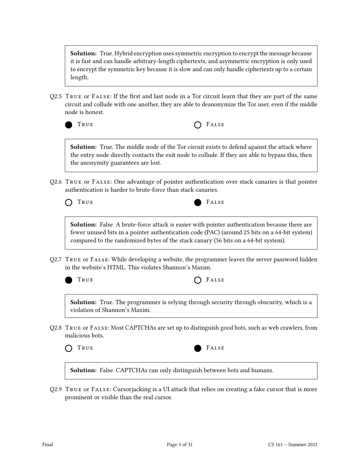**Solution:** True. Hybrid encryption uses symmetric encryption to encrypt the message because it is fast and can handle arbitrary-length ciphertexts, and asymmetric encryption is only used to encrypt the symmetric key because it is slow and can only handle ciphertexts up to a certain length.

Q2.5 TRUE or  $FALSE$ : If the first and last node in a Tor circuit learn that they are part of the same circuit and collude with one another, they are able to deanonymize the Tor user, even if the middle node is honest.

| ٦<br>۰, | - - |
|---------|-----|

RUE  $\bigcap$  FALSE

**Solution:** True. The middle node of the Tor circuit exists to defend against the attack where the entry node directly contacts the exit node to collude. If they are able to bypass this, then the anonymity guarantees are lost.

Q2.6 True or False: One advantage of pointer authentication over stack canaries is that pointer authentication is harder to brute-force than stack canaries.



Solution: False. A brute-force attack is easier with pointer authentication because there are fewer unused bits in a pointer authentication code (PAC) (around 25 bits on a 64-bit system) compared to the randomized bytes of the stack canary (56 bits on a 64-bit system).

Q2.7 True or False: While developing a website, the programmer leaves the server password hidden in the website's HTML. This violates Shannon's Maxim.

| True | $O$ FALSE |
|------|-----------|
|------|-----------|

Solution: True. The programmer is relying through security through obscurity, which is a violation of Shannon's Maxim.

Q2.8 True or False: Most CAPTCHAs are set up to distinguish good bots, such as web crawlers, from malicious bots.



TRUE FALSE

Solution: False. CAPTCHAs can only distinguish between bots and humans.

Q2.9 True or False: Cursorjacking is a UI attack that relies on creating a fake cursor that is more prominent or visible than the real cursor.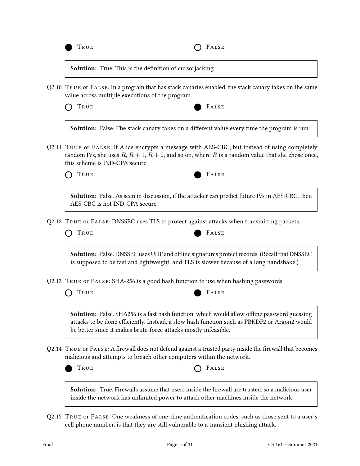

Solution: True. This is the definition of cursorjacking.

Q2.10 True or False: In a program that has stack canaries enabled, the stack canary takes on the same value across multiple executions of the program.

| I RUE.<br>$\sim$<br>---<br>- - - |  |
|----------------------------------|--|
|                                  |  |

FALSE

**Solution:** False. The stack canary takes on a different value every time the program is run.

Q2.11 True or False: If Alice encrypts a message with AES-CBC, but instead of using completely random IVs, she uses  $R$ ,  $R$  + 1,  $R$  + 2, and so on, where  $R$  is a random value that she chose once, this scheme is IND-CPA secure.



Solution: False. As seen in discussion, if the attacker can predict future IVs in AES-CBC, then AES-CBC is not IND-CPA secure.

Q2.12 True or False: DNSSEC uses TLS to protect against attacks when transmitting packets.



**Solution:** False. DNSSEC uses UDP and offline signatures protect records. (Recall that DNSSEC is supposed to be fast and lightweight, and TLS is slower because of a long handshake.)

Q2.13 True or False: SHA-256 is a good hash function to use when hashing passwords.

TRUE FALSE



Solution: False. SHA256 is a fast hash function, which would allow offline password guessing attacks to be done efficiently. Instead, a slow hash function such as PBKDF2 or Argon2 would be better since it makes brute-force attacks mostly infeasible.

Q2.14 TRUE OF FALSE: A firewall does not defend against a trusted party inside the firewall that becomes malicious and attempts to breach other computers within the network.





**Solution:** True. Firewalls assume that users inside the firewall are trusted, so a malicious user inside the network has unlimited power to attack other machines inside the network.

Q2.15 True or False: One weakness of one-time authentication codes, such as those sent to a user's cell phone number, is that they are still vulnerable to a transient phishing attack.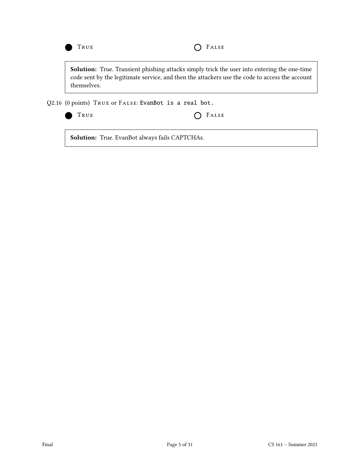

Solution: True. Transient phishing attacks simply trick the user into entering the one-time code sent by the legitimate service, and then the attackers use the code to access the account themselves.

Q2.16 (0 points) True or False: EvanBot is a real bot.



TRUE **COLLECTER** 

Solution: True. EvanBot always fails CAPTCHAs.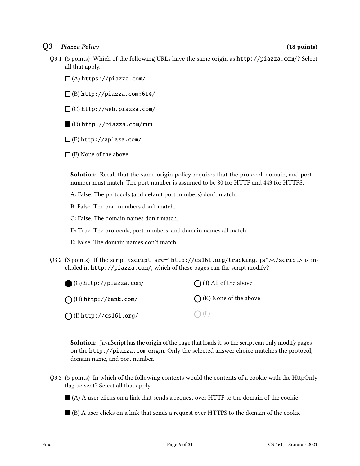# Q3 Piazza Policy (18 points)

Q3.1 (5 points) Which of the following URLs have the same origin as http://piazza.com/? Select all that apply.

 $\Box$ (A) https://piazza.com/

 $\Box$ (B) http://piazza.com:614/

 $\square$  (C) http://web.piazza.com/

(D) http://piazza.com/run

 $\square$ (E) http://aplaza.com/

 $\Box$  (F) None of the above

Solution: Recall that the same-origin policy requires that the protocol, domain, and port number must match. The port number is assumed to be 80 for HTTP and 443 for HTTPS.

A: False. The protocols (and default port numbers) don't match.

B: False. The port numbers don't match.

C: False. The domain names don't match.

D: True. The protocols, port numbers, and domain names all match.

E: False. The domain names don't match.

Q3.2 (3 points) If the script <script src="http://cs161.org/tracking.js"></script> is included in http://piazza.com/, which of these pages can the script modify?

| $\bigcirc$ (G) http://piazza.com/ | $\bigcap$ (J) All of the above  |
|-----------------------------------|---------------------------------|
| $\bigcap$ (H) http://bank.com/    | $\bigcap$ (K) None of the above |
| $\bigcap$ (I) http://cs161.org/   | $\bigcap (L)$                   |

Solution: JavaScript has the origin of the page that loads it, so the script can only modify pages on the http://piazza.com origin. Only the selected answer choice matches the protocol, domain name, and port number.

Q3.3 (5 points) In which of the following contexts would the contents of a cookie with the HttpOnly flag be sent? Select all that apply.

 $\blacksquare$  (A) A user clicks on a link that sends a request over HTTP to the domain of the cookie

(B) A user clicks on a link that sends a request over HTTPS to the domain of the cookie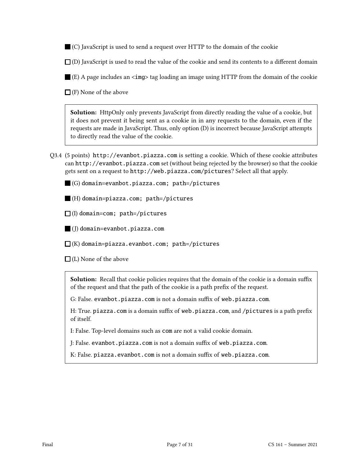(C) JavaScript is used to send a request over HTTP to the domain of the cookie

 $\Box$  (D) JavaScript is used to read the value of the cookie and send its contents to a different domain

 $\blacksquare$  (E) A page includes an  $\langle \text{img} \rangle$  tag loading an image using HTTP from the domain of the cookie

 $\Box$  (F) None of the above

Solution: HttpOnly only prevents JavaScript from directly reading the value of a cookie, but it does not prevent it being sent as a cookie in in any requests to the domain, even if the requests are made in JavaScript. Thus, only option (D) is incorrect because JavaScript attempts to directly read the value of the cookie.

Q3.4 (5 points) http://evanbot.piazza.com is setting a cookie. Which of these cookie attributes can http://evanbot.piazza.com set (without being rejected by the browser) so that the cookie gets sent on a request to http://web.piazza.com/pictures? Select all that apply.

(G) domain=evanbot.piazza.com; path=/pictures

(H) domain=piazza.com; path=/pictures

 $\Box$ (I) domain=com; path=/pictures

(J) domain=evanbot.piazza.com

 $\Box$ (K) domain=piazza.evanbot.com; path=/pictures

 $\Box$ (L) None of the above

Solution: Recall that cookie policies requires that the domain of the cookie is a domain suffix of the request and that the path of the cookie is a path prefix of the request.

G: False. evanbot.piazza.com is not a domain suffix of web.piazza.com.

H: True. piazza.com is a domain suffix of web.piazza.com, and /pictures is a path prefix of itself.

I: False. Top-level domains such as com are not a valid cookie domain.

J: False. evanbot.piazza.com is not a domain suffix of web.piazza.com.

K: False. piazza.evanbot.com is not a domain suffix of web.piazza.com.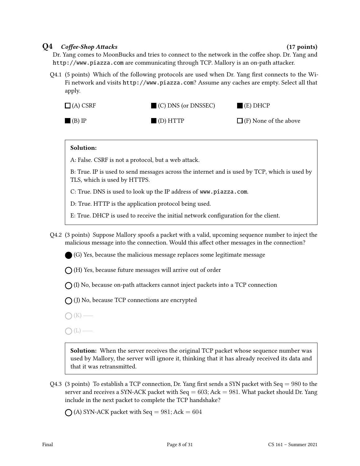### $Q4$  Coffee-Shop Attacks (17 points) (17 points)

Dr. Yang comes to MoonBucks and tries to connect to the network in the coffee shop. Dr. Yang and http://www.piazza.com are communicating through TCP. Mallory is an on-path attacker.

 $Q4.1$  (5 points) Which of the following protocols are used when Dr. Yang first connects to the Wi-Fi network and visits http://www.piazza.com? Assume any caches are empty. Select all that apply.



### Solution:

A: False. CSRF is not a protocol, but a web attack.

B: True. IP is used to send messages across the internet and is used by TCP, which is used by TLS, which is used by HTTPS.

C: True. DNS is used to look up the IP address of www.piazza.com.

D: True. HTTP is the application protocol being used.

E: True. DHCP is used to receive the initial network conguration for the client.

Q4.2 (3 points) Suppose Mallory spoofs a packet with a valid, upcoming sequence number to inject the malicious message into the connection. Would this affect other messages in the connection?

(G) Yes, because the malicious message replaces some legitimate message

 $\bigcap$  (H) Yes, because future messages will arrive out of order

 $\bigcap$  (I) No, because on-path attackers cannot inject packets into a TCP connection

 $\bigcap$  (J) No, because TCP connections are encrypted

 $\bigcap$  (K) —

 $\bigcap(L)$  —

**Solution:** When the server receives the original TCP packet whose sequence number was used by Mallory, the server will ignore it, thinking that it has already received its data and that it was retransmitted.

Q4.3 (3 points) To establish a TCP connection, Dr. Yang first sends a SYN packet with Seq = 980 to the server and receives a SYN-ACK packet with Seq  $= 603$ ; Ack  $= 981$ . What packet should Dr. Yang include in the next packet to complete the TCP handshake?

 $\bigcap$  (A) SYN-ACK packet with Seq = 981; Ack = 604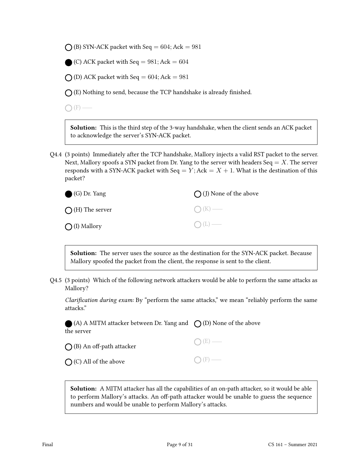$\bigcap$  (B) SYN-ACK packet with Seq = 604; Ack = 981

(C) ACK packet with Seq  $= 981$ ; Ack  $= 604$ 

 $\bigcap$  (D) ACK packet with Seq = 604; Ack = 981

 $\bigcap$  (E) Nothing to send, because the TCP handshake is already finished.

 $\bigcap$  (F) —

Solution: This is the third step of the 3-way handshake, when the client sends an ACK packet to acknowledge the server's SYN-ACK packet.

Q4.4 (3 points) Immediately after the TCP handshake, Mallory injects a valid RST packet to the server. Next, Mallory spoofs a SYN packet from Dr. Yang to the server with headers Seq  $=X$ . The server responds with a SYN-ACK packet with Seq =  $Y$ ; Ack =  $X + 1$ . What is the destination of this packet?

| G) Dr. Yang              | $\bigcap$ (J) None of the above |
|--------------------------|---------------------------------|
| $\bigcap$ (H) The server | $\bigcap (K)$ —                 |
| $\bigcirc$ (I) Mallory   | $O(L)$ —                        |

Solution: The server uses the source as the destination for the SYN-ACK packet. Because Mallory spoofed the packet from the client, the response is sent to the client.

Q4.5 (3 points) Which of the following network attackers would be able to perform the same attacks as Mallory?

Clarification during exam: By "perform the same attacks," we mean "reliably perform the same attacks."

(A) A MITM attacker between Dr. Yang and  $\,\,\bigcirc$  (D) None of the above the server

 $\bigcap$  (B) An off-path attacker

 $\bigcap$  (C) All of the above

 $\bigcap(E)$  —

 $\bigcap$  (F) —

Solution: A MITM attacker has all the capabilities of an on-path attacker, so it would be able to perform Mallory's attacks. An off-path attacker would be unable to guess the sequence numbers and would be unable to perform Mallory's attacks.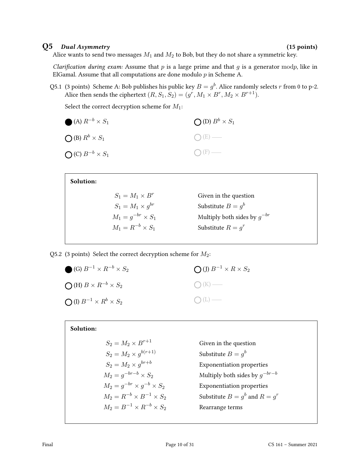### $Q5$  Dual Asymmetry (15 points)

Alice wants to send two messages  $M_1$  and  $M_2$  to Bob, but they do not share a symmetric key.

Clarification during exam: Assume that  $p$  is a large prime and that  $q$  is a generator modp, like in ElGamal. Assume that all computations are done modulo  $p$  in Scheme A.

Q5.1 (3 points) Scheme A: Bob publishes his public key  $B = g^b$ . Alice randomly selects r from 0 to p-2. Alice then sends the ciphertext  $(R,S_1,S_2)=(g^r,M_1\times B^r,M_2\times B^{r+1}).$ 

Select the correct decryption scheme for  $M_1$ :

| $\bigcirc$ (A) $R^{-b} \times S_1$ | $\bigcirc$ (D) $B^b \times S_1$ |
|------------------------------------|---------------------------------|
| $\bigcirc$ (B) $R^b \times S_1$    | $O(E)$ —                        |
| $\bigcirc$ (C) $B^{-b} \times S_1$ | $\bigcap$ (F) —                 |

| Solution:                  |                                  |
|----------------------------|----------------------------------|
| $S_1 = M_1 \times B^r$     | Given in the question            |
| $S_1 = M_1 \times q^{br}$  | Substitute $B = q^b$             |
| $M_1 = g^{-br} \times S_1$ | Multiply both sides by $q^{-br}$ |
| $M_1 = R^{-b} \times S_1$  | Substitute $R = q^r$             |
|                            |                                  |

Q5.2 (3 points) Select the correct decryption scheme for  $M_2$ :

| (G) $B^{-1} \times R^{-b} \times S_2$      | $\bigcirc$ (J) $B^{-1} \times R \times S_2$ |
|--------------------------------------------|---------------------------------------------|
| $\bigcap$ (H) $B \times R^{-b} \times S_2$ | $O(K)$ —                                    |
| $\bigcap (I) B^{-1} \times R^b \times S_2$ | $O(L)$ —                                    |

### Solution:

| $S_2 = M_2 \times B^{r+1}$               |
|------------------------------------------|
| $S_2 = M_2 \times g^{b(r+1)}$            |
| $S_2 = M_2 \times g^{br+b}$              |
| $M_2 = q^{-br-b} \times S_2$             |
| $M_2 = q^{-br} \times q^{-b} \times S_2$ |
| $M_2 = R^{-b} \times B^{-1} \times S_2$  |
| $M_2 = B^{-1} \times R^{-b} \times S_2$  |
|                                          |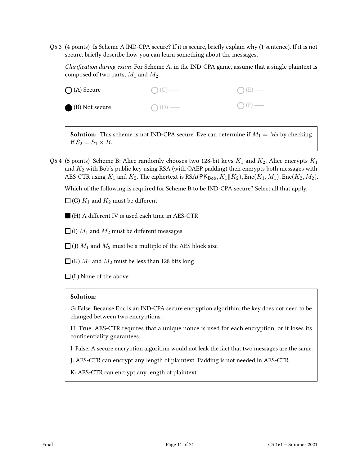Q5.3 (4 points) Is Scheme A IND-CPA secure? If it is secure, briefly explain why  $(1 \text{ sentence})$ . If it is not secure, briefly describe how you can learn something about the messages.

Clarification during exam: For Scheme A, in the IND-CPA game, assume that a single plaintext is composed of two parts,  $M_1$  and  $M_2$ .



**Solution:** This scheme is not IND-CPA secure. Eve can determine if  $M_1 = M_2$  by checking if  $S_2 = S_1 \times B$ .

Q5.4 (5 points) Scheme B: Alice randomly chooses two 128-bit keys  $K_1$  and  $K_2$ . Alice encrypts  $K_1$ and  $K_2$  with Bob's public key using RSA (with OAEP padding) then encrypts both messages with AES-CTR using  $K_1$  and  $K_2$ . The ciphertext is RSA(PK<sub>Bob</sub>,  $K_1||K_2$ ), Enc( $K_1, M_1$ ), Enc( $K_2, M_2$ ).

Which of the following is required for Scheme B to be IND-CPA secure? Select all that apply.

 $\Box$  (G)  $K_1$  and  $K_2$  must be different

 $\blacksquare$  (H) A different IV is used each time in AES-CTR

 $\Box$  (I)  $M_1$  and  $M_2$  must be different messages

 $\Box$  (J)  $M_1$  and  $M_2$  must be a multiple of the AES block size

 $\Box$  (K)  $M_1$  and  $M_2$  must be less than 128 bits long

 $\Box$  (L) None of the above

### Solution:

G: False. Because Enc is an IND-CPA secure encryption algorithm, the key does not need to be changed between two encryptions.

H: True. AES-CTR requires that a unique nonce is used for each encryption, or it loses its confidentiality guarantees.

I: False. A secure encryption algorithm would not leak the fact that two messages are the same.

J: AES-CTR can encrypt any length of plaintext. Padding is not needed in AES-CTR.

K: AES-CTR can encrypt any length of plaintext.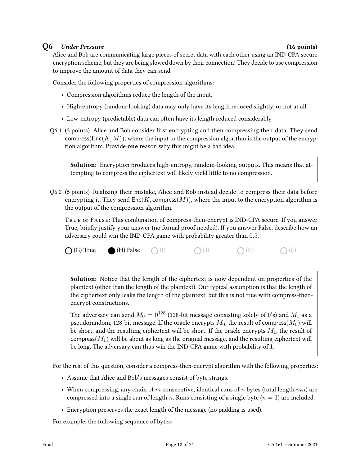### Q6 Under Pressure (16 points)

Alice and Bob are communicating large pieces of secret data with each other using an IND-CPA secure encryption scheme, but they are being slowed down by their connection! They decide to use compression to improve the amount of data they can send.

Consider the following properties of compression algorithms:

- Compression algorithms reduce the length of the input.
- High-entropy (random-looking) data may only have its length reduced slightly, or not at all
- Low-entropy (predictable) data can often have its length reduced considerably
- Q6.1 (3 points) Alice and Bob consider first encrypting and then compressing their data. They send compress( $Enc(K, M)$ ), where the input to the compression algorithm is the output of the encryption algorithm. Provide one reason why this might be a bad idea.

Solution: Encryption produces high-entropy, random-looking outputs. This means that attempting to compress the ciphertext will likely yield little to no compression.

Q6.2 (5 points) Realizing their mistake, Alice and Bob instead decide to compress their data before encrypting it. They send  $Enc(K, \text{compress}(M))$ , where the input to the encryption algorithm is the output of the compression algorithm.

True or False: This combination of compress-then-encrypt is IND-CPA secure. If you answer True, briefly justify your answer (no formal proof needed). If you answer False, describe how an adversary could win the IND-CPA game with probability greater than 0.5.

 $\bigcirc$  (G) True (H) False  $\bigcirc$  (I)  $\longrightarrow$   $\bigcirc$  (J)  $\longrightarrow$   $\bigcirc$  (K)  $\longrightarrow$   $\bigcirc$  (L)  $\longrightarrow$ 

Solution: Notice that the length of the ciphertext is now dependent on properties of the plaintext (other than the length of the plaintext). Our typical assumption is that the length of the ciphertext only leaks the length of the plaintext, but this is not true with compress-thenencrypt constructions.

The adversary can send  $M_0 = 0^{128}$  (128-bit message consisting solely of 0's) and  $M_1$  as a pseudorandom, 128-bit message. If the oracle encrypts  $M_0$ , the result of compress $(M_0)$  will be short, and the resulting ciphertext will be short. If the oracle encrypts  $M_1$ , the result of compress $(M_1)$  will be about as long as the original message, and the resulting ciphertext will be long. The adversary can thus win the IND-CPA game with probability of 1.

For the rest of this question, consider a compress-then-encrypt algorithm with the following properties:

- Assume that Alice and Bob's messages consist of byte strings.
- When compressing, any chain of m consecutive, identical runs of n bytes (total length  $mn$ ) are compressed into a single run of length n. Runs consisting of a single byte  $(n = 1)$  are included.
- Encryption preserves the exact length of the message (no padding is used).

For example, the following sequence of bytes: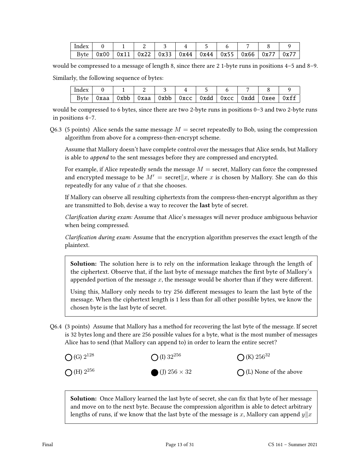| Index |                                                                     |  |  |  |               |
|-------|---------------------------------------------------------------------|--|--|--|---------------|
|       | Byte   0x00   0x11   0x22   0x33   0x44   0x44   0x55   0x66   0x77 |  |  |  | $\sqrt{0x77}$ |

would be compressed to a message of length 8, since there are 2 1-byte runs in positions 4–5 and 8–9.

Similarly, the following sequence of bytes:

| Index |        |                                                       |  |  |  |      |
|-------|--------|-------------------------------------------------------|--|--|--|------|
| Byte  | Oxaa l | 0xbb   0xaa   0xbb   0xcc   0xdd   0xcc   0xdd   0xee |  |  |  | 0xff |

would be compressed to 6 bytes, since there are two 2-byte runs in positions 0–3 and two 2-byte runs in positions 4–7.

Q6.3 (5 points) Alice sends the same message  $M =$  secret repeatedly to Bob, using the compression algorithm from above for a compress-then-encrypt scheme.

Assume that Mallory doesn't have complete control over the messages that Alice sends, but Mallory is able to append to the sent messages before they are compressed and encrypted.

For example, if Alice repeatedly sends the message  $M =$  secret, Mallory can force the compressed and encrypted message to be  $M' =$  secret  $\|x,$  where x is chosen by Mallory. She can do this repeatedly for any value of  $x$  that she chooses.

If Mallory can observe all resulting ciphertexts from the compress-then-encrypt algorithm as they are transmitted to Bob, devise a way to recover the last byte of secret.

Clarification during exam: Assume that Alice's messages will never produce ambiguous behavior when being compressed.

Clarification during exam: Assume that the encryption algorithm preserves the exact length of the plaintext.

**Solution:** The solution here is to rely on the information leakage through the length of the ciphertext. Observe that, if the last byte of message matches the first byte of Mallory's appended portion of the message  $x$ , the message would be shorter than if they were different.

Using this, Mallory only needs to try 256 different messages to learn the last byte of the message. When the ciphertext length is 1 less than for all other possible bytes, we know the chosen byte is the last byte of secret.

Q6.4 (3 points) Assume that Mallory has a method for recovering the last byte of the message. If secret is 32 bytes long and there are 256 possible values for a byte, what is the most number of messages Alice has to send (that Mallory can append to) in order to learn the entire secret?



**Solution:** Once Mallory learned the last byte of secret, she can fix that byte of her message and move on to the next byte. Because the compression algorithm is able to detect arbitrary lengths of runs, if we know that the last byte of the message is x, Mallory can append  $y||x$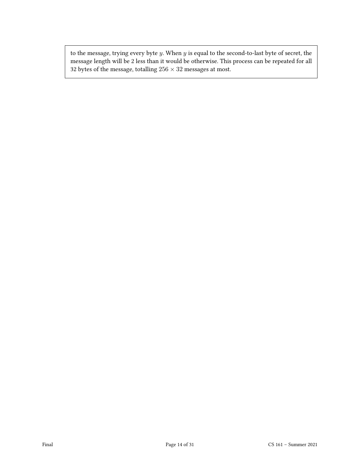to the message, trying every byte  $y$ . When  $y$  is equal to the second-to-last byte of secret, the message length will be 2 less than it would be otherwise. This process can be repeated for all 32 bytes of the message, totalling  $256 \times 32$  messages at most.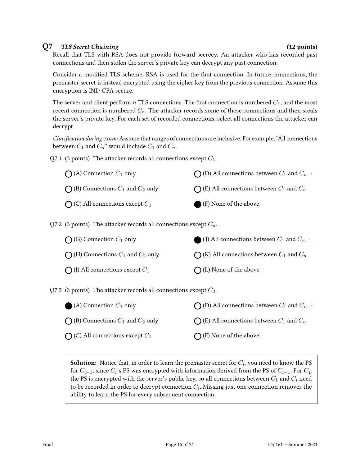### Q7 TLS Secret Chaining (12 points)

Recall that TLS with RSA does not provide forward secrecy. An attacker who has recorded past connections and then stolen the server's private key can decrypt any past connection.

Consider a modified TLS scheme. RSA is used for the first connection. In future connections, the premaster secret is instead encrypted using the cipher key from the previous connection. Assume this encryption is IND-CPA secure.

The server and client perform n TLS connections. The first connection is numbered  $C_1$ , and the most recent connection is numbered  $C_n$ . The attacker records some of these connections and then steals the server's private key. For each set of recorded connections, select all connections the attacker can decrypt.

Clarification during exam: Assume that ranges of connections are inclusive. For example, "All connections between  $C_1$  and  $C_n$ " would include  $C_1$  and  $C_n$ .

Q7.1 (3 points) The attacker records all connections except  $C_1$ .

| $\bigcap$ (A) Connection $C_1$ only            | $\bigcap$ (D) All connections between $C_1$ and $C_{n-1}$ |
|------------------------------------------------|-----------------------------------------------------------|
| $\bigcap$ (B) Connections $C_1$ and $C_2$ only | $\bigcap$ (E) All connections between $C_1$ and $C_n$     |
| $\bigcap$ (C) All connections except $C_1$     | (F) None of the above                                     |

Q7.2 (3 points) The attacker records all connections except  $C_n$ .

| $\bigcap$ (G) Connection $C_1$ only            | (J) All connections between $C_1$ and $C_{n-1}$       |
|------------------------------------------------|-------------------------------------------------------|
| $\bigcap$ (H) Connections $C_1$ and $C_2$ only | $\bigcap$ (K) All connections between $C_1$ and $C_n$ |
| $\bigcap$ (I) All connections except $C_1$     | $\bigcap$ (L) None of the above                       |

Q7.3 (3 points) The attacker records all connections except  $C_2$ .

| $\bigcirc$ (A) Connection $C_1$ only           | $\bigcap$ (D) All connections between $C_1$ and $C_{n-1}$ |
|------------------------------------------------|-----------------------------------------------------------|
| $\bigcap$ (B) Connections $C_1$ and $C_2$ only | $\bigcap$ (E) All connections between $C_1$ and $C_n$     |
| $\bigcap$ (C) All connections except $C_1$     | $\bigcap$ (F) None of the above                           |

**Solution:** Notice that, in order to learn the premaster secret for  $C_i$ , you need to know the PS for  $C_{i-1}$ , since  $C_i$ 's PS was encrypted with information derived from the PS of  $C_{i-1}$ . For  $C_1$ , the PS is encrypted with the server's public key, so all connections between  $C_1$  and  $C_i$  need to be recorded in order to decrypt connection  $C_i.$  Missing just one connection removes the ability to learn the PS for every subsequent connection.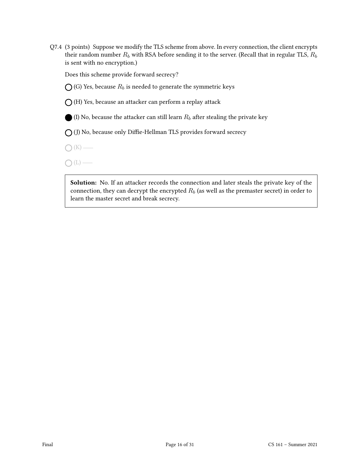Q7.4 (3 points) Suppose we modify the TLS scheme from above. In every connection, the client encrypts their random number  $R_b$  with RSA before sending it to the server. (Recall that in regular TLS,  $R_b$ is sent with no encryption.)

Does this scheme provide forward secrecy?

 $\bigcap$  (G) Yes, because  $R_b$  is needed to generate the symmetric keys

 $\bigcap$  (H) Yes, because an attacker can perform a replay attack

(I) No, because the attacker can still learn  $R_b$  after stealing the private key

 $\bigcirc$  (J) No, because only Diffie-Hellman TLS provides forward secrecy

 $\bigcap (K)$  —

 $O(L)$  —

Solution: No. If an attacker records the connection and later steals the private key of the connection, they can decrypt the encrypted  $R_b$  (as well as the premaster secret) in order to learn the master secret and break secrecy.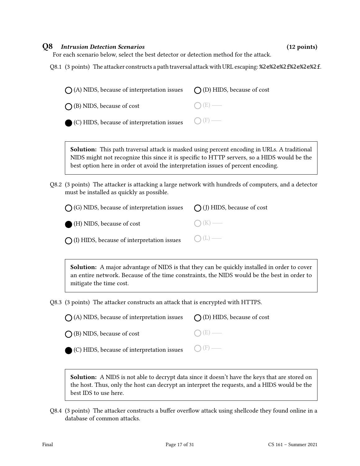### Q8 Intrusion Detection Scenarios (12 points)

For each scenario below, select the best detector or detection method for the attack.

Q8.1 (3 points) The attacker constructs a path traversal attack with URL escaping: %2e%2e%2e%2e%2e%2f.

| $\bigcap$ (A) NIDS, because of interpretation issues $\bigcap$ (D) HIDS, because of cost |                  |
|------------------------------------------------------------------------------------------|------------------|
| $\bigcap$ (B) NIDS, because of cost                                                      | $\bigcirc$ (E) — |
| $\bigcirc$ (C) HIDS, because of interpretation issues $\bigcirc$ (F) —                   |                  |

Solution: This path traversal attack is masked using percent encoding in URLs. A traditional NIDS might not recognize this since it is specific to HTTP servers, so a HIDS would be the best option here in order ot avoid the interpretation issues of percent encoding.

Q8.2 (3 points) The attacker is attacking a large network with hundreds of computers, and a detector must be installed as quickly as possible.

| $\bigcap$ (G) NIDS, because of interpretation issues $\bigcap$ (J) HIDS, because of cost |                 |
|------------------------------------------------------------------------------------------|-----------------|
| (H) NIDS, because of cost                                                                | $\bigcap (K)$ — |
| $\bigcirc$ (I) HIDS, because of interpretation issues $\bigcirc$ (L) —                   |                 |

Solution: A major advantage of NIDS is that they can be quickly installed in order to cover an entire network. Because of the time constraints, the NIDS would be the best in order to mitigate the time cost.

Q8.3 (3 points) The attacker constructs an attack that is encrypted with HTTPS.

| $\bigcap$ (A) NIDS, because of interpretation issues $\bigcap$ (D) HIDS, because of cost |                 |
|------------------------------------------------------------------------------------------|-----------------|
| $\bigcap$ (B) NIDS, because of cost                                                      | $\bigcap (E)$ — |
| $\bigcirc$ (C) HIDS, because of interpretation issues $\bigcirc$ (F) —                   |                 |

**Solution:** A NIDS is not able to decrypt data since it doesn't have the keys that are stored on the host. Thus, only the host can decrypt an interpret the requests, and a HIDS would be the best IDS to use here.

Q8.4 (3 points) The attacker constructs a buffer overflow attack using shellcode they found online in a database of common attacks.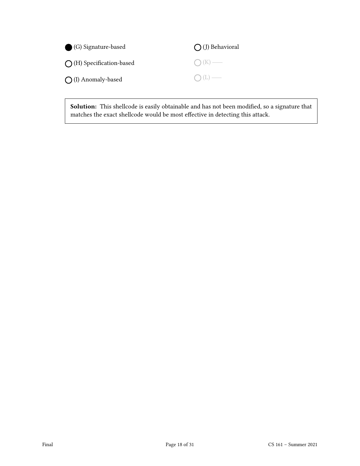| (G) Signature-based               | $\bigcap$ (J) Behavioral |
|-----------------------------------|--------------------------|
| $\bigcap$ (H) Specification-based | $O(K)$ —                 |
| $\bigcap$ (I) Anomaly-based       | $O(L)$ —                 |

Solution: This shellcode is easily obtainable and has not been modified, so a signature that matches the exact shellcode would be most effective in detecting this attack.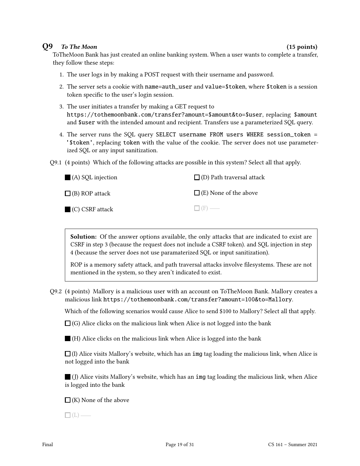### Q9 To The Moon (15 points) (15 points)

ToTheMoon Bank has just created an online banking system. When a user wants to complete a transfer, they follow these steps:

- 1. The user logs in by making a POST request with their username and password.
- 2. The server sets a cookie with name=auth\_user and value=\$token, where \$token is a session token specific to the user's login session.
- 3. The user initiates a transfer by making a GET request to https://tothemoonbank.com/transfer?amount=\$amount&to=\$user, replacing \$amount and \$user with the intended amount and recipient. Transfers use a parameterized SQL query.
- 4. The server runs the SQL query SELECT username FROM users WHERE session\_token = '\$token', replacing token with the value of the cookie. The server does not use parameterized SQL or any input sanitization.
- Q9.1 (4 points) Which of the following attacks are possible in this system? Select all that apply.

| $\blacksquare$ (A) SQL injection | $\Box$ (D) Path traversal attack |
|----------------------------------|----------------------------------|
| $\Box$ (B) ROP attack            | $\Box$ (E) None of the above     |
| $(C)$ CSRF attack                | $\Box$ (F) —                     |

Solution: Of the answer options available, the only attacks that are indicated to exist are CSRF in step 3 (because the request does not include a CSRF token). and SQL injection in step 4 (because the server does not use paramaterized SQL or input sanitization).

ROP is a memory safety attack, and path traversal attacks involve filesystems. These are not mentioned in the system, so they aren't indicated to exist.

Q9.2 (4 points) Mallory is a malicious user with an account on ToTheMoon Bank. Mallory creates a malicious link https://tothemoonbank.com/transfer?amount=100&to=Mallory.

Which of the following scenarios would cause Alice to send \$100 to Mallory? Select all that apply.

 $\Box$  (G) Alice clicks on the malicious link when Alice is not logged into the bank

 $\blacksquare$  (H) Alice clicks on the malicious link when Alice is logged into the bank

 $\Box$  (I) Alice visits Mallory's website, which has an img tag loading the malicious link, when Alice is not logged into the bank

 $\Box$  (J) Alice visits Mallory's website, which has an img tag loading the malicious link, when Alice is logged into the bank

 $\Box$ (K) None of the above

 $\Box$ (L) —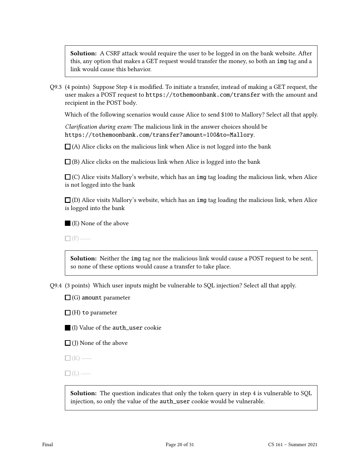**Solution:** A CSRF attack would require the user to be logged in on the bank website. After this, any option that makes a GET request would transfer the money, so both an img tag and a link would cause this behavior.

Q9.3 (4 points) Suppose Step 4 is modied. To initiate a transfer, instead of making a GET request, the user makes a POST request to https://tothemoonbank.com/transfer with the amount and recipient in the POST body.

Which of the following scenarios would cause Alice to send \$100 to Mallory? Select all that apply.

Clarification during exam: The malicious link in the answer choices should be https://tothemoonbank.com/transfer?amount=100&to=Mallory.

 $\Box$ (A) Alice clicks on the malicious link when Alice is not logged into the bank

 $\Box$ (B) Alice clicks on the malicious link when Alice is logged into the bank

 $\Box$  (C) Alice visits Mallory's website, which has an img tag loading the malicious link, when Alice is not logged into the bank

 $\Box$  (D) Alice visits Mallory's website, which has an img tag loading the malicious link, when Alice is logged into the bank

(E) None of the above

 $\Box$  (F) —

Solution: Neither the img tag nor the malicious link would cause a POST request to be sent, so none of these options would cause a transfer to take place.

Q9.4 (3 points) Which user inputs might be vulnerable to SQL injection? Select all that apply.

 $\Box$  (G) amount parameter

 $\Box$  (H) to parameter

(I) Value of the auth\_user cookie

 $\Box$  (J) None of the above

 $\Box$ (K) —

 $\Box$ (L) —

Solution: The question indicates that only the token query in step 4 is vulnerable to SQL injection, so only the value of the auth\_user cookie would be vulnerable.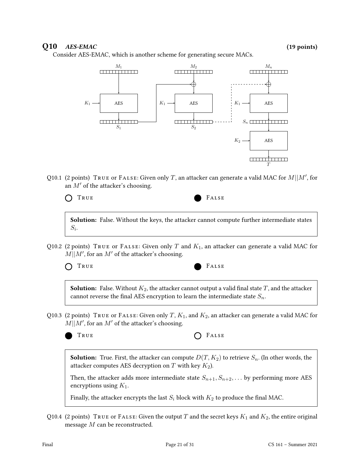# $Q10$   $AES-EMAC$  (19 points)

Consider AES-EMAC, which is another scheme for generating secure MACs.



Q10.1 (2 points) TRUE or FALSE: Given only T, an attacker can generate a valid MAC for  $M||M'$ , for an  $M'$  of the attacker's choosing.



**Solution:** False. Without the keys, the attacker cannot compute further intermediate states  $S_i$ .

Q10.2 (2 points) TRUE or FALSE: Given only T and  $K_1$ , an attacker can generate a valid MAC for  $M||M'$ , for an M' of the attacker's choosing.



**Solution:** False. Without  $K_2$ , the attacker cannot output a valid final state T, and the attacker cannot reverse the final AES encryption to learn the intermediate state  $S_n$ .

Q10.3 (2 points) TRUE or FALSE: Given only T,  $K_1$ , and  $K_2$ , an attacker can generate a valid MAC for  $M||M'$ , for an  $M'$  of the attacker's choosing.

TRUE **CONSTRUE** 

**Solution:** True. First, the attacker can compute  $D(T, K_2)$  to retrieve  $S_n$ . (In other words, the attacker computes AES decryption on  $T$  with key  $K_2$ ).

Then, the attacker adds more intermediate state  $S_{n+1}, S_{n+2}, \ldots$  by performing more AES encryptions using  $K_1$ .

Finally, the attacker encrypts the last  $S_i$  block with  $K_2$  to produce the final MAC.

Q10.4 (2 points) TRUE or FALSE: Given the output T and the secret keys  $K_1$  and  $K_2$ , the entire original message M can be reconstructed.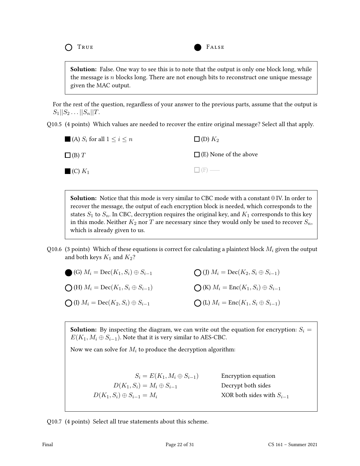

**Solution:** False. One way to see this is to note that the output is only one block long, while the message is  $n$  blocks long. There are not enough bits to reconstruct one unique message given the MAC output.

For the rest of the question, regardless of your answer to the previous parts, assume that the output is  $S_1||S_2...||S_n||T$ .

Q10.5 (4 points) Which values are needed to recover the entire original message? Select all that apply.

| $\blacksquare$ (A) $S_i$ for all $1 \leq i \leq n$ | $\square$ (D) $K_2$          |
|----------------------------------------------------|------------------------------|
| $\Box$ (B) $T$                                     | $\Box$ (E) None of the above |
| $\blacksquare$ (C) $K_1$                           | $\Box$ (F) —                 |

**Solution:** Notice that this mode is very similar to CBC mode with a constant 0 IV. In order to recover the message, the output of each encryption block is needed, which corresponds to the states  $S_1$  to  $S_n$ . In CBC, decryption requires the original key, and  $K_1$  corresponds to this key in this mode. Neither  $K_2$  nor T are necessary since they would only be used to recover  $S_n$ , which is already given to us.

Q10.6 (3 points) Which of these equations is correct for calculating a plaintext block  $M_i$  given the output and both keys  $K_1$  and  $K_2$ ?

| (G) $M_i = \text{Dec}(K_1, S_i) \oplus S_{i-1}$            | $\bigcirc$ (J) $M_i = \text{Dec}(K_2, S_i \oplus S_{i-1})$ |
|------------------------------------------------------------|------------------------------------------------------------|
| $\bigcirc$ (H) $M_i = \text{Dec}(K_1, S_i \oplus S_{i-1})$ | $\bigcirc$ (K) $M_i = \text{Enc}(K_1, S_i) \oplus S_{i-1}$ |
| $\bigcirc$ (I) $M_i = \text{Dec}(K_2, S_i) \oplus S_{i-1}$ | $\bigcirc$ (L) $M_i = \text{Enc}(K_1, S_i \oplus S_{i-1})$ |

**Solution:** By inspecting the diagram, we can write out the equation for encryption:  $S_i$  =  $E(K_1, M_i \oplus S_{i-1})$ . Note that it is very similar to AES-CBC.

Now we can solve for  $M_i$  to produce the decryption algorithm:

 $S_i = E(K_1, M_i \oplus S_{i-1})$  Encryption equation  $D(K_1, S_i) = M_i \oplus S_{i-1}$  Decrypt both sides  $D(K_1, S_i) \oplus S_{i-1} = M_i$  XOR both sides with  $S_{i-1}$ 

Q10.7 (4 points) Select all true statements about this scheme.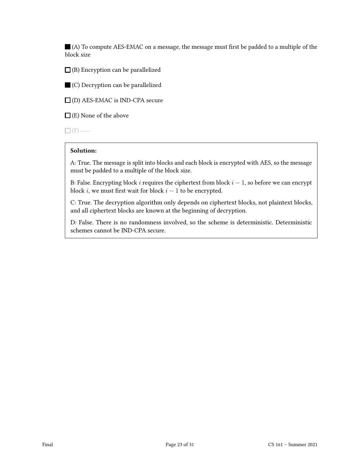$\blacksquare$  (A) To compute AES-EMAC on a message, the message must first be padded to a multiple of the block size

 $\Box$ (B) Encryption can be parallelized

(C) Decryption can be parallelized

(D) AES-EMAC is IND-CPA secure

 $\Box$  (E) None of the above

 $\square$  (F) —

### Solution:

A: True. The message is split into blocks and each block is encrypted with AES, so the message must be padded to a multiple of the block size.

B: False. Encrypting block i requires the ciphertext from block  $i - 1$ , so before we can encrypt block *i*, we must first wait for block  $i - 1$  to be encrypted.

C: True. The decryption algorithm only depends on ciphertext blocks, not plaintext blocks, and all ciphertext blocks are known at the beginning of decryption.

D: False. There is no randomness involved, so the scheme is deterministic. Deterministic schemes cannot be IND-CPA secure.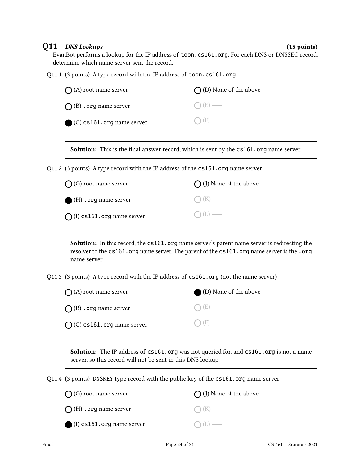Q11 DNS Lookups (15 points)

EvanBot performs a lookup for the IP address of toon.cs161.org. For each DNS or DNSSEC record, determine which name server sent the record.

Q11.1 (3 points) A type record with the IP address of toon.cs161.org

| $\bigcap$ (A) root name server       | $\bigcap$ (D) None of the above |
|--------------------------------------|---------------------------------|
| $\bigcap$ (B) . org name server      | $\bigcap (E)$ —                 |
| $\bigcirc$ (C) cs161.org name server | $\bigcap$ (F) —                 |

Solution: This is the final answer record, which is sent by the  $cs161.org$  name server.

Q11.2 (3 points) A type record with the IP address of the cs161.org name server

| $\bigcap$ (G) root name server      | $\bigcap$ (J) None of the above |
|-------------------------------------|---------------------------------|
| $\bullet$ (H) . org name server     | $\bigcap (K)$ —                 |
| $\bigcap$ (I) cs161.org name server | $O(L)$ —                        |

Solution: In this record, the cs161.org name server's parent name server is redirecting the resolver to the cs161.org name server. The parent of the cs161.org name server is the .org name server.

Q11.3 (3 points) A type record with the IP address of cs161.org (not the name server)

| $\bigcap$ (A) root name server      | (D) None of the above |
|-------------------------------------|-----------------------|
| $\bigcap$ (B) . org name server     | $\bigcap (E)$ —       |
| $\bigcap$ (C) cs161.org name server | $\bigcap$ (F) —       |

Solution: The IP address of cs161.org was not queried for, and cs161.org is not a name server, so this record will not be sent in this DNS lookup.

Q11.4 (3 points) DNSKEY type record with the public key of the cs161.org name server

| $\bigcap$ (G) root name server       | $\bigcap$ (J) None of the above |
|--------------------------------------|---------------------------------|
| $\bigcap$ (H) . org name server      | $\bigcap (K)$ —                 |
| $\bigcirc$ (I) cs161.org name server | $\bigcap(L)$ —                  |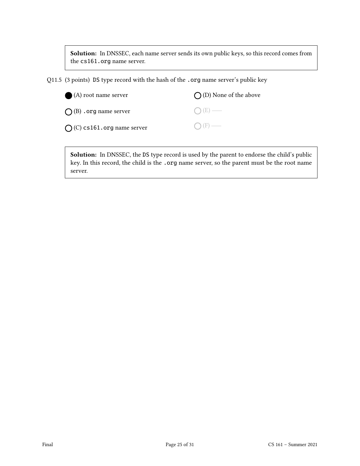Solution: In DNSSEC, each name server sends its own public keys, so this record comes from the cs161.org name server.

Q11.5 (3 points) DS type record with the hash of the .org name server's public key

| $\bigcirc$ (A) root name server     | $\bigcap$ (D) None of the above |
|-------------------------------------|---------------------------------|
| $\bigcap$ (B) . org name server     | $O(E)$ —                        |
| $\bigcap$ (C) cs161.org name server | $\bigcap$ (F) —                 |

Solution: In DNSSEC, the DS type record is used by the parent to endorse the child's public key. In this record, the child is the .org name server, so the parent must be the root name server.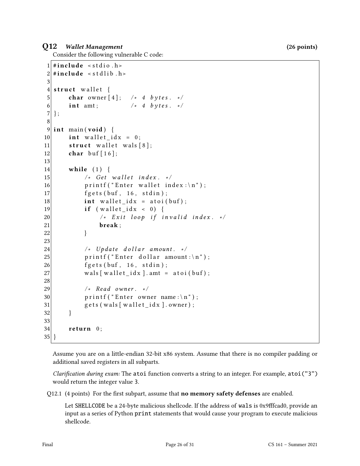## Q12 Wallet Management (26 points)

Consider the following vulnerable C code:

```
1 \# include \le stdio . h>
2 \times #include < stdlib.h>
3
4 struct wallet {
5 char owner [4]; /* 4 bytes. */
6 int amt; \frac{1}{2} /* 4 bytes. */
7 };
8
9 int main (void) {
10 int wallet_idx = 0;
11 \vert struct wallet wals [8];
12 char buf [16];
13
14 while (1) {
15 \vert \star Get wallet index. \star/
16 printf ("Enter wallet index:\langle n" \rangle;
17 fgets (buf, 16, stdin);
18 int wallet idx = \text{atoi}(\text{buf});19 if (wallet_idx < 0)20 \vert /* Exit loop if invalid index. */
21 break;
22 }
23
24 \vert /* Update dollar amount. */
25 printf ("Enter dollar amount:\n");
26 fgets (buf, 16, stdin);
27 wals [wallet_idx]. amt = atoi(buf);
28
29 /* Read owner. */30 printf ("Enter owner name:\n");
31 gets (wals [wallet idx]. owner);
32 }
33
34 return 0;
35 }
```
Assume you are on a little-endian 32-bit x86 system. Assume that there is no compiler padding or additional saved registers in all subparts.

*Clarification during exam:* The atoi function converts a string to an integer. For example, atoi ("3") would return the integer value 3.

Q12.1 (4 points) For the first subpart, assume that **no memory safety defenses** are enabled.

Let SHELLCODE be a 24-byte malicious shellcode. If the address of wals is 0x9fffcad0, provide an input as a series of Python print statements that would cause your program to execute malicious shellcode.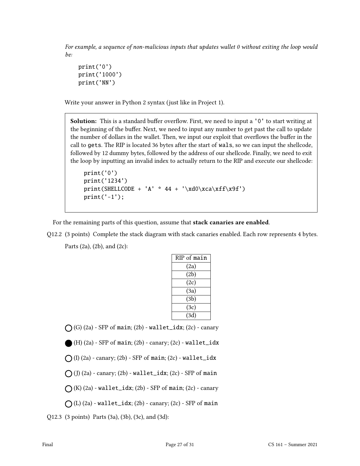For example, a sequence of non-malicious inputs that updates wallet 0 without exiting the loop would be:

```
print('0')
print('1000')
print('NN')
```
Write your answer in Python 2 syntax (just like in Project 1).

**Solution:** This is a standard buffer overflow. First, we need to input a '0' to start writing at the beginning of the buffer. Next, we need to input any number to get past the call to update the number of dollars in the wallet. Then, we input our exploit that overflows the buffer in the call to gets. The RIP is located 36 bytes after the start of wals, so we can input the shellcode, followed by 12 dummy bytes, followed by the address of our shellcode. Finally, we need to exit the loop by inputting an invalid index to actually return to the RIP and execute our shellcode:

```
print('0')
print('1234')
print(SHELLCODE + 'A' * 44 + '\xd0\xca\xff\x9f')
print('-1');
```
For the remaining parts of this question, assume that stack canaries are enabled.

Q12.2 (3 points) Complete the stack diagram with stack canaries enabled. Each row represents 4 bytes. Parts (2a), (2b), and (2c):

| RIP of main |
|-------------|
| (2a)        |
| (2b)        |
| (2c)        |
| (3a)        |
| (3b)        |
| (3c)        |
| (3d)        |

 $\bigcap$  (G) (2a) - SFP of main; (2b) - wallet\_idx; (2c) - canary

```
(H) (2a) - SFP of main; (2b) - canary; (2c) - wallet_idx
```

```
\bigcap (I) (2a) - canary; (2b) - SFP of main; (2c) - wallet_idx
```
 $\bigcap$  (J) (2a) - canary; (2b) - wallet\_idx; (2c) - SFP of main

 $\bigcap$  (K) (2a) - wallet\_idx; (2b) - SFP of main; (2c) - canary

 $\bigcap$  (L) (2a) - wallet\_idx; (2b) - canary; (2c) - SFP of main

Q12.3 (3 points) Parts (3a), (3b), (3c), and (3d):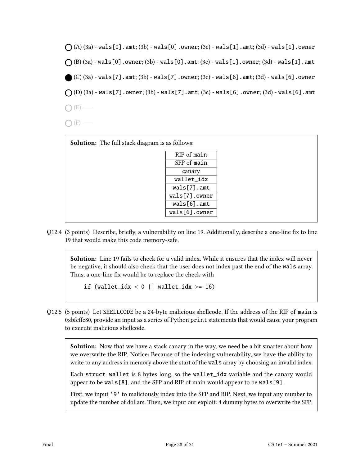

| ۰. |  |
|----|--|

| <b>Solution:</b> The full stack diagram is as follows: |               |  |
|--------------------------------------------------------|---------------|--|
|                                                        | RIP of main   |  |
|                                                        | SFP of main   |  |
|                                                        | canary        |  |
|                                                        | wallet_idx    |  |
|                                                        | wals[7] . amt |  |
|                                                        | wals[7].owner |  |
|                                                        | wals[6] . amt |  |
|                                                        | wals[6].owner |  |
|                                                        |               |  |

Q12.4 (3 points) Describe, briefly, a vulnerability on line 19. Additionally, describe a one-line fix to line 19 that would make this code memory-safe.

Solution: Line 19 fails to check for a valid index. While it ensures that the index will never be negative, it should also check that the user does not index past the end of the wals array. Thus, a one-line fix would be to replace the check with

if (wallet\_idx  $< 0$  || wallet\_idx  $> = 16$ )

Q12.5 (5 points) Let SHELLCODE be a 24-byte malicious shellcode. If the address of the RIP of main is 0xbfeffc80, provide an input as a series of Python print statements that would cause your program to execute malicious shellcode.

Solution: Now that we have a stack canary in the way, we need be a bit smarter about how we overwrite the RIP. Notice: Because of the indexing vulnerability, we have the ability to write to any address in memory above the start of the wals array by choosing an invalid index.

Each struct wallet is 8 bytes long, so the wallet\_idx variable and the canary would appear to be wals[8], and the SFP and RIP of main would appear to be wals[9].

First, we input '9' to maliciously index into the SFP and RIP. Next, we input any number to update the number of dollars. Then, we input our exploit: 4 dummy bytes to overwrite the SFP,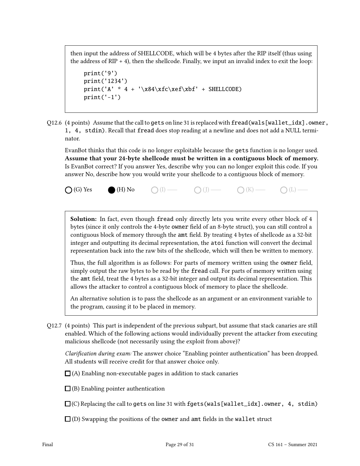then input the address of SHELLCODE, which will be 4 bytes after the RIP itself (thus using the address of  $RIP + 4$ ), then the shellcode. Finally, we input an invalid index to exit the loop:

```
print('9')
print('1234')
print('A' * 4 + '\x84\xfc\xef\xbf' + SHELLCODE)
print('-1')
```
Q12.6 (4 points) Assume that the call to gets on line 31 is replaced with fread(wals[wallet\_idx].owner, 1, 4, stdin). Recall that fread does stop reading at a newline and does not add a NULL terminator.

EvanBot thinks that this code is no longer exploitable because the gets function is no longer used. Assume that your 24-byte shellcode must be written in a contiguous block of memory. Is EvanBot correct? If you answer Yes, describe why you can no longer exploit this code. If you answer No, describe how you would write your shellcode to a contiguous block of memory.

 $\bigcap$  (G) Yes  $\bigcap$  (H) No  $\bigcap$  (I)  $\longrightarrow$   $\bigcap$  (J)  $\longrightarrow$   $\bigcap$  (K)  $\longrightarrow$   $\bigcap$  (L)  $\longrightarrow$ 

Solution: In fact, even though fread only directly lets you write every other block of 4 bytes (since it only controls the 4-byte owner field of an 8-byte struct), you can still control a contiguous block of memory through the amt field. By treating 4 bytes of shellcode as a 32-bit integer and outputting its decimal representation, the atoi function will convert the decimal representation back into the raw bits of the shellcode, which will then be written to memory.

Thus, the full algorithm is as follows: For parts of memory written using the owner field, simply output the raw bytes to be read by the fread call. For parts of memory written using the amt field, treat the 4 bytes as a 32-bit integer and output its decimal representation. This allows the attacker to control a contiguous block of memory to place the shellcode.

An alternative solution is to pass the shellcode as an argument or an environment variable to the program, causing it to be placed in memory.

Q12.7 (4 points) This part is independent of the previous subpart, but assume that stack canaries are still enabled. Which of the following actions would individually prevent the attacker from executing malicious shellcode (not necessarily using the exploit from above)?

Clarification during exam: The answer choice "Enabling pointer authentication" has been dropped. All students will receive credit for that answer choice only.

 $\Box$  (A) Enabling non-executable pages in addition to stack canaries

 $\Box$ (B) Enabling pointer authentication

 $\Box$  (C) Replacing the call to gets on line 31 with fgets (wals[wallet\_idx].owner, 4, stdin)

 $\Box$  (D) Swapping the positions of the owner and amt fields in the wallet struct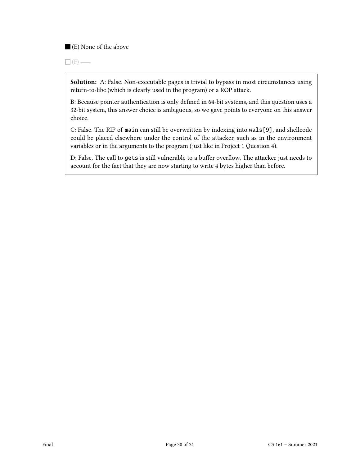(E) None of the above

 $\Box$ (F) —

Solution: A: False. Non-executable pages is trivial to bypass in most circumstances using return-to-libc (which is clearly used in the program) or a ROP attack.

B: Because pointer authentication is only defined in 64-bit systems, and this question uses a 32-bit system, this answer choice is ambiguous, so we gave points to everyone on this answer choice.

C: False. The RIP of main can still be overwritten by indexing into wals[9], and shellcode could be placed elsewhere under the control of the attacker, such as in the environment variables or in the arguments to the program (just like in Project 1 Question 4).

D: False. The call to gets is still vulnerable to a buffer overflow. The attacker just needs to account for the fact that they are now starting to write 4 bytes higher than before.